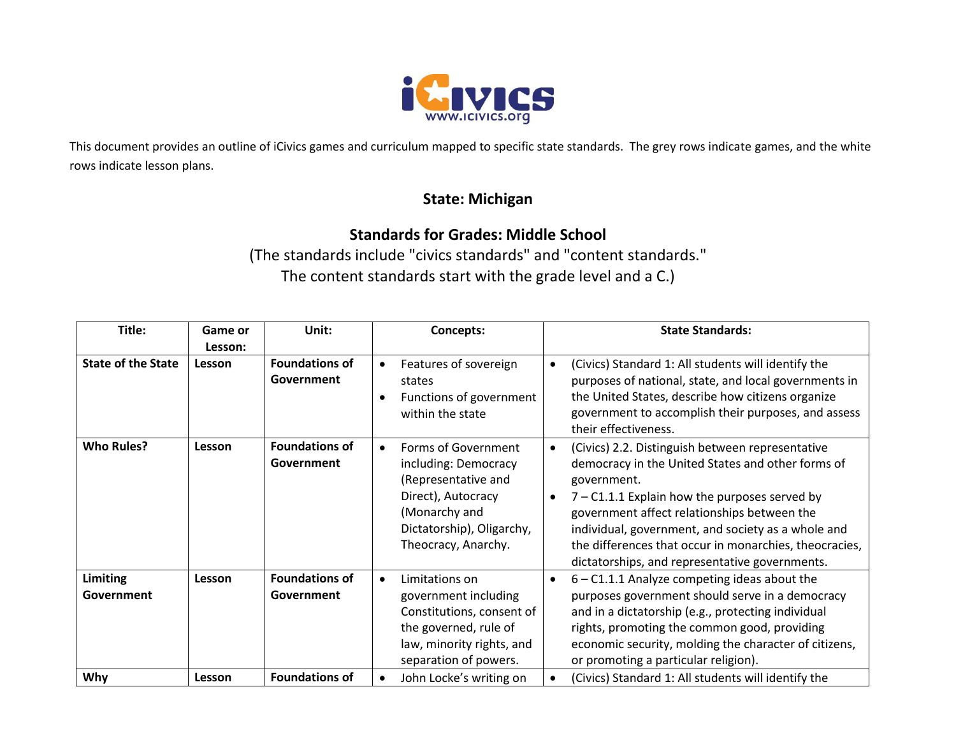

This document provides an outline of iCivics games and curriculum mapped to specific state standards. The grey rows indicate games, and the white rows indicate lesson plans.

## **State: Michigan**

## **Standards for Grades: Middle School**

(The standards include "civics standards" and "content standards." The content standards start with the grade level and a C.)

| Title:                        | Game or | Unit:                               |           | Concepts:                                                                                                                                                     | <b>State Standards:</b>                                                                                                                                                                                                                                                                                                                                                                  |
|-------------------------------|---------|-------------------------------------|-----------|---------------------------------------------------------------------------------------------------------------------------------------------------------------|------------------------------------------------------------------------------------------------------------------------------------------------------------------------------------------------------------------------------------------------------------------------------------------------------------------------------------------------------------------------------------------|
|                               | Lesson: |                                     |           |                                                                                                                                                               |                                                                                                                                                                                                                                                                                                                                                                                          |
| <b>State of the State</b>     | Lesson  | <b>Foundations of</b><br>Government | $\bullet$ | Features of sovereign<br>states<br>Functions of government<br>within the state                                                                                | (Civics) Standard 1: All students will identify the<br>purposes of national, state, and local governments in<br>the United States, describe how citizens organize<br>government to accomplish their purposes, and assess<br>their effectiveness.                                                                                                                                         |
| <b>Who Rules?</b>             | Lesson  | <b>Foundations of</b><br>Government | $\bullet$ | Forms of Government<br>including: Democracy<br>(Representative and<br>Direct), Autocracy<br>(Monarchy and<br>Dictatorship), Oligarchy,<br>Theocracy, Anarchy. | (Civics) 2.2. Distinguish between representative<br>democracy in the United States and other forms of<br>government.<br>$7 - C1.1.1$ Explain how the purposes served by<br>government affect relationships between the<br>individual, government, and society as a whole and<br>the differences that occur in monarchies, theocracies,<br>dictatorships, and representative governments. |
| <b>Limiting</b><br>Government | Lesson  | <b>Foundations of</b><br>Government |           | Limitations on<br>government including<br>Constitutions, consent of<br>the governed, rule of<br>law, minority rights, and<br>separation of powers.            | $6 - C1.1.1$ Analyze competing ideas about the<br>purposes government should serve in a democracy<br>and in a dictatorship (e.g., protecting individual<br>rights, promoting the common good, providing<br>economic security, molding the character of citizens,<br>or promoting a particular religion).                                                                                 |
| <b>Why</b>                    | Lesson  | <b>Foundations of</b>               |           | John Locke's writing on                                                                                                                                       | (Civics) Standard 1: All students will identify the                                                                                                                                                                                                                                                                                                                                      |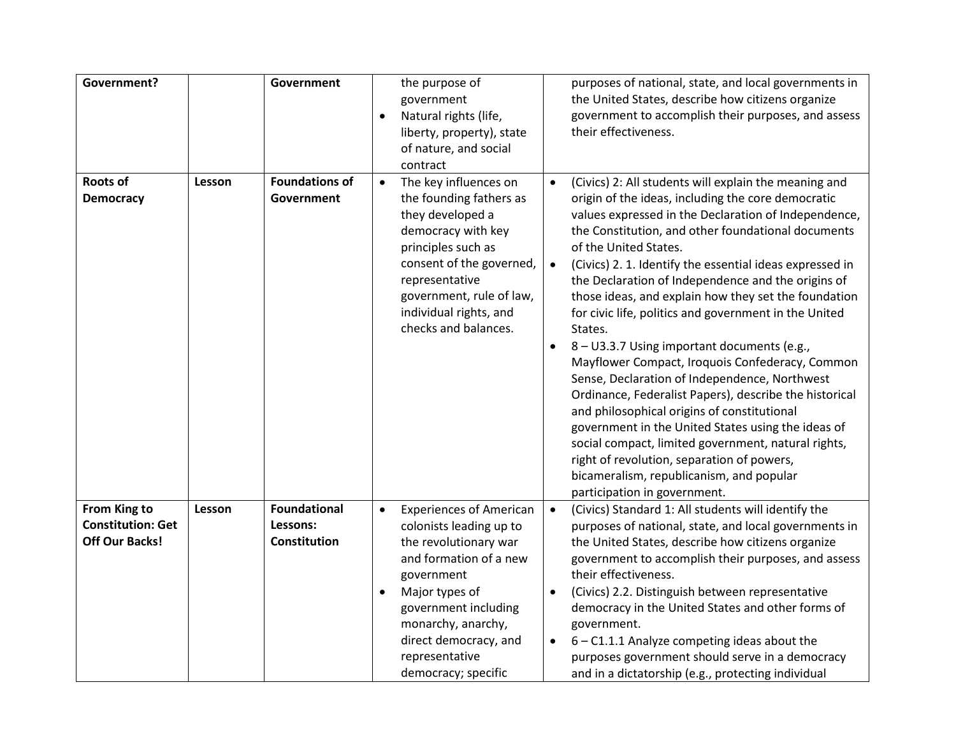| <b>Government?</b>                                                |        | <b>Government</b>                               | $\bullet$ | the purpose of<br>government<br>Natural rights (life,<br>liberty, property), state<br>of nature, and social<br>contract                                                                                                                                      |                                     | purposes of national, state, and local governments in<br>the United States, describe how citizens organize<br>government to accomplish their purposes, and assess<br>their effectiveness.                                                                                                                                                                                                                                                                                                                                                                                                                                                                                                                                                                                                                                                                                                                                                                                                           |
|-------------------------------------------------------------------|--------|-------------------------------------------------|-----------|--------------------------------------------------------------------------------------------------------------------------------------------------------------------------------------------------------------------------------------------------------------|-------------------------------------|-----------------------------------------------------------------------------------------------------------------------------------------------------------------------------------------------------------------------------------------------------------------------------------------------------------------------------------------------------------------------------------------------------------------------------------------------------------------------------------------------------------------------------------------------------------------------------------------------------------------------------------------------------------------------------------------------------------------------------------------------------------------------------------------------------------------------------------------------------------------------------------------------------------------------------------------------------------------------------------------------------|
| <b>Roots of</b><br><b>Democracy</b>                               | Lesson | <b>Foundations of</b><br>Government             | $\bullet$ | The key influences on<br>the founding fathers as<br>they developed a<br>democracy with key<br>principles such as<br>consent of the governed,<br>representative<br>government, rule of law,<br>individual rights, and<br>checks and balances.                 | $\bullet$<br>$\bullet$<br>$\bullet$ | (Civics) 2: All students will explain the meaning and<br>origin of the ideas, including the core democratic<br>values expressed in the Declaration of Independence,<br>the Constitution, and other foundational documents<br>of the United States.<br>(Civics) 2. 1. Identify the essential ideas expressed in<br>the Declaration of Independence and the origins of<br>those ideas, and explain how they set the foundation<br>for civic life, politics and government in the United<br>States.<br>8 - U3.3.7 Using important documents (e.g.,<br>Mayflower Compact, Iroquois Confederacy, Common<br>Sense, Declaration of Independence, Northwest<br>Ordinance, Federalist Papers), describe the historical<br>and philosophical origins of constitutional<br>government in the United States using the ideas of<br>social compact, limited government, natural rights,<br>right of revolution, separation of powers,<br>bicameralism, republicanism, and popular<br>participation in government. |
| From King to<br><b>Constitution: Get</b><br><b>Off Our Backs!</b> | Lesson | <b>Foundational</b><br>Lessons:<br>Constitution | $\bullet$ | <b>Experiences of American</b><br>colonists leading up to<br>the revolutionary war<br>and formation of a new<br>government<br>Major types of<br>government including<br>monarchy, anarchy,<br>direct democracy, and<br>representative<br>democracy; specific | $\bullet$<br>$\bullet$              | (Civics) Standard 1: All students will identify the<br>purposes of national, state, and local governments in<br>the United States, describe how citizens organize<br>government to accomplish their purposes, and assess<br>their effectiveness.<br>(Civics) 2.2. Distinguish between representative<br>democracy in the United States and other forms of<br>government.<br>$6 - C1.1.1$ Analyze competing ideas about the<br>purposes government should serve in a democracy<br>and in a dictatorship (e.g., protecting individual                                                                                                                                                                                                                                                                                                                                                                                                                                                                 |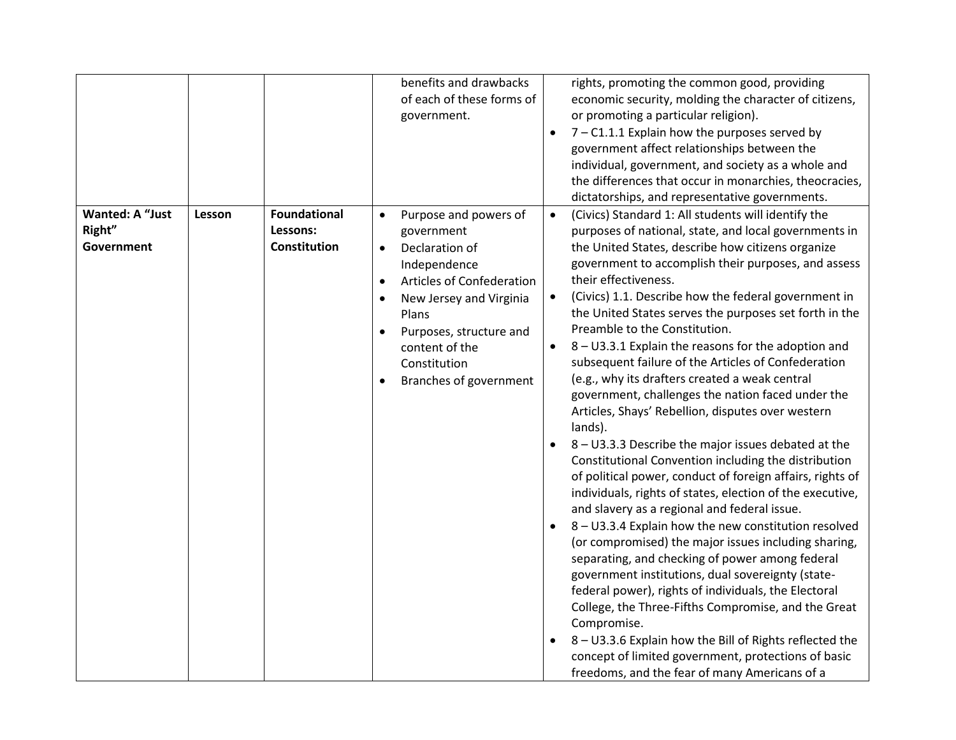|                                                |        |                                                 | benefits and drawbacks<br>of each of these forms of<br>government.                                                                                                                                                                                                                             |                                     | rights, promoting the common good, providing<br>economic security, molding the character of citizens,<br>or promoting a particular religion).<br>$7 - C1.1.1$ Explain how the purposes served by<br>government affect relationships between the<br>individual, government, and society as a whole and<br>the differences that occur in monarchies, theocracies,<br>dictatorships, and representative governments.                                                                                                                                                                                                                                                                                                                                                                                                                                                                                                                                                                                                                                                                                                                                                                                                                                                                                                                                                                                                                                                                                          |
|------------------------------------------------|--------|-------------------------------------------------|------------------------------------------------------------------------------------------------------------------------------------------------------------------------------------------------------------------------------------------------------------------------------------------------|-------------------------------------|------------------------------------------------------------------------------------------------------------------------------------------------------------------------------------------------------------------------------------------------------------------------------------------------------------------------------------------------------------------------------------------------------------------------------------------------------------------------------------------------------------------------------------------------------------------------------------------------------------------------------------------------------------------------------------------------------------------------------------------------------------------------------------------------------------------------------------------------------------------------------------------------------------------------------------------------------------------------------------------------------------------------------------------------------------------------------------------------------------------------------------------------------------------------------------------------------------------------------------------------------------------------------------------------------------------------------------------------------------------------------------------------------------------------------------------------------------------------------------------------------------|
| <b>Wanted: A "Just</b><br>Right"<br>Government | Lesson | <b>Foundational</b><br>Lessons:<br>Constitution | Purpose and powers of<br>$\bullet$<br>government<br>Declaration of<br>$\bullet$<br>Independence<br>Articles of Confederation<br>$\bullet$<br>New Jersey and Virginia<br>$\bullet$<br>Plans<br>Purposes, structure and<br>$\bullet$<br>content of the<br>Constitution<br>Branches of government | $\bullet$<br>$\bullet$<br>$\bullet$ | (Civics) Standard 1: All students will identify the<br>purposes of national, state, and local governments in<br>the United States, describe how citizens organize<br>government to accomplish their purposes, and assess<br>their effectiveness.<br>(Civics) 1.1. Describe how the federal government in<br>the United States serves the purposes set forth in the<br>Preamble to the Constitution.<br>8 - U3.3.1 Explain the reasons for the adoption and<br>subsequent failure of the Articles of Confederation<br>(e.g., why its drafters created a weak central<br>government, challenges the nation faced under the<br>Articles, Shays' Rebellion, disputes over western<br>lands).<br>8 - U3.3.3 Describe the major issues debated at the<br>Constitutional Convention including the distribution<br>of political power, conduct of foreign affairs, rights of<br>individuals, rights of states, election of the executive,<br>and slavery as a regional and federal issue.<br>8 - U3.3.4 Explain how the new constitution resolved<br>(or compromised) the major issues including sharing,<br>separating, and checking of power among federal<br>government institutions, dual sovereignty (state-<br>federal power), rights of individuals, the Electoral<br>College, the Three-Fifths Compromise, and the Great<br>Compromise.<br>8 - U3.3.6 Explain how the Bill of Rights reflected the<br>concept of limited government, protections of basic<br>freedoms, and the fear of many Americans of a |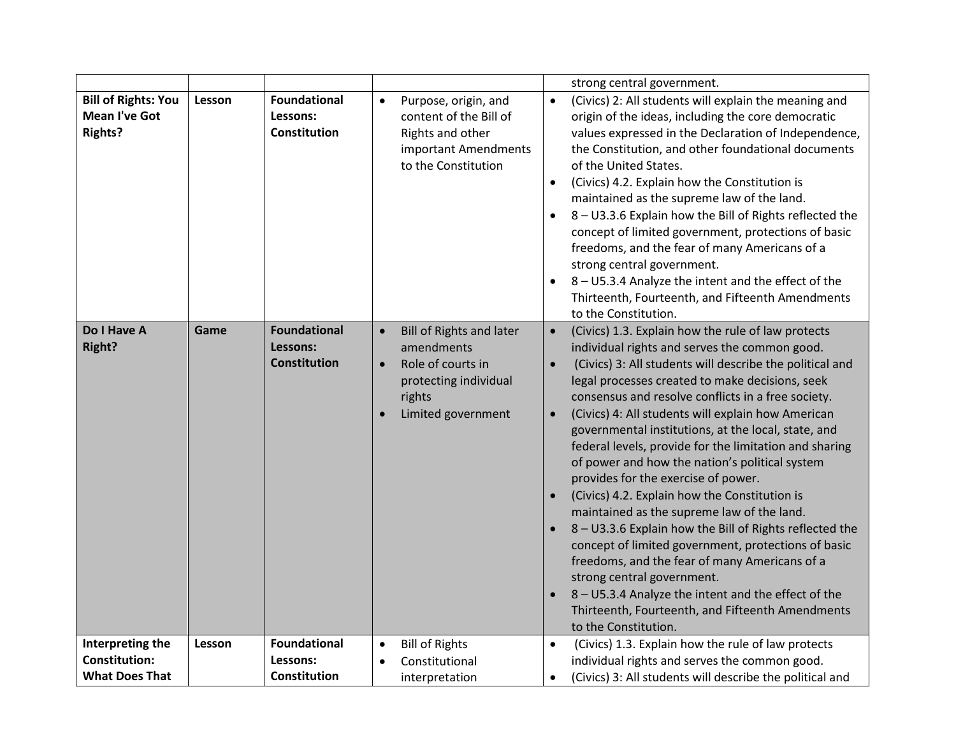|                                                                      |        |                                                        |                                                                                                                                                       | strong central government.                                                                                                                                                                                                                                                                                                                                                                                                                                                                                                                                                                                                                                                                                                                                                                                                                                                                                                                                                                                         |
|----------------------------------------------------------------------|--------|--------------------------------------------------------|-------------------------------------------------------------------------------------------------------------------------------------------------------|--------------------------------------------------------------------------------------------------------------------------------------------------------------------------------------------------------------------------------------------------------------------------------------------------------------------------------------------------------------------------------------------------------------------------------------------------------------------------------------------------------------------------------------------------------------------------------------------------------------------------------------------------------------------------------------------------------------------------------------------------------------------------------------------------------------------------------------------------------------------------------------------------------------------------------------------------------------------------------------------------------------------|
| <b>Bill of Rights: You</b><br><b>Mean I've Got</b><br><b>Rights?</b> | Lesson | <b>Foundational</b><br>Lessons:<br>Constitution        | Purpose, origin, and<br>$\bullet$<br>content of the Bill of<br>Rights and other<br>important Amendments<br>to the Constitution                        | (Civics) 2: All students will explain the meaning and<br>$\bullet$<br>origin of the ideas, including the core democratic<br>values expressed in the Declaration of Independence,<br>the Constitution, and other foundational documents<br>of the United States.<br>(Civics) 4.2. Explain how the Constitution is<br>$\bullet$<br>maintained as the supreme law of the land.<br>8 - U3.3.6 Explain how the Bill of Rights reflected the<br>$\bullet$<br>concept of limited government, protections of basic<br>freedoms, and the fear of many Americans of a<br>strong central government.<br>8 - U5.3.4 Analyze the intent and the effect of the<br>$\bullet$<br>Thirteenth, Fourteenth, and Fifteenth Amendments<br>to the Constitution.                                                                                                                                                                                                                                                                          |
| Do I Have A<br>Right?                                                | Game   | <b>Foundational</b><br>Lessons:<br><b>Constitution</b> | <b>Bill of Rights and later</b><br>$\bullet$<br>amendments<br>Role of courts in<br>$\bullet$<br>protecting individual<br>rights<br>Limited government | (Civics) 1.3. Explain how the rule of law protects<br>$\bullet$<br>individual rights and serves the common good.<br>(Civics) 3: All students will describe the political and<br>$\bullet$<br>legal processes created to make decisions, seek<br>consensus and resolve conflicts in a free society.<br>(Civics) 4: All students will explain how American<br>$\bullet$<br>governmental institutions, at the local, state, and<br>federal levels, provide for the limitation and sharing<br>of power and how the nation's political system<br>provides for the exercise of power.<br>(Civics) 4.2. Explain how the Constitution is<br>maintained as the supreme law of the land.<br>8 - U3.3.6 Explain how the Bill of Rights reflected the<br>concept of limited government, protections of basic<br>freedoms, and the fear of many Americans of a<br>strong central government.<br>8 - U5.3.4 Analyze the intent and the effect of the<br>Thirteenth, Fourteenth, and Fifteenth Amendments<br>to the Constitution. |
| Interpreting the                                                     | Lesson | <b>Foundational</b>                                    | <b>Bill of Rights</b><br>$\bullet$                                                                                                                    | (Civics) 1.3. Explain how the rule of law protects<br>$\bullet$                                                                                                                                                                                                                                                                                                                                                                                                                                                                                                                                                                                                                                                                                                                                                                                                                                                                                                                                                    |
| <b>Constitution:</b>                                                 |        | Lessons:                                               | Constitutional                                                                                                                                        | individual rights and serves the common good.                                                                                                                                                                                                                                                                                                                                                                                                                                                                                                                                                                                                                                                                                                                                                                                                                                                                                                                                                                      |
| <b>What Does That</b>                                                |        | Constitution                                           | interpretation                                                                                                                                        | (Civics) 3: All students will describe the political and<br>$\bullet$                                                                                                                                                                                                                                                                                                                                                                                                                                                                                                                                                                                                                                                                                                                                                                                                                                                                                                                                              |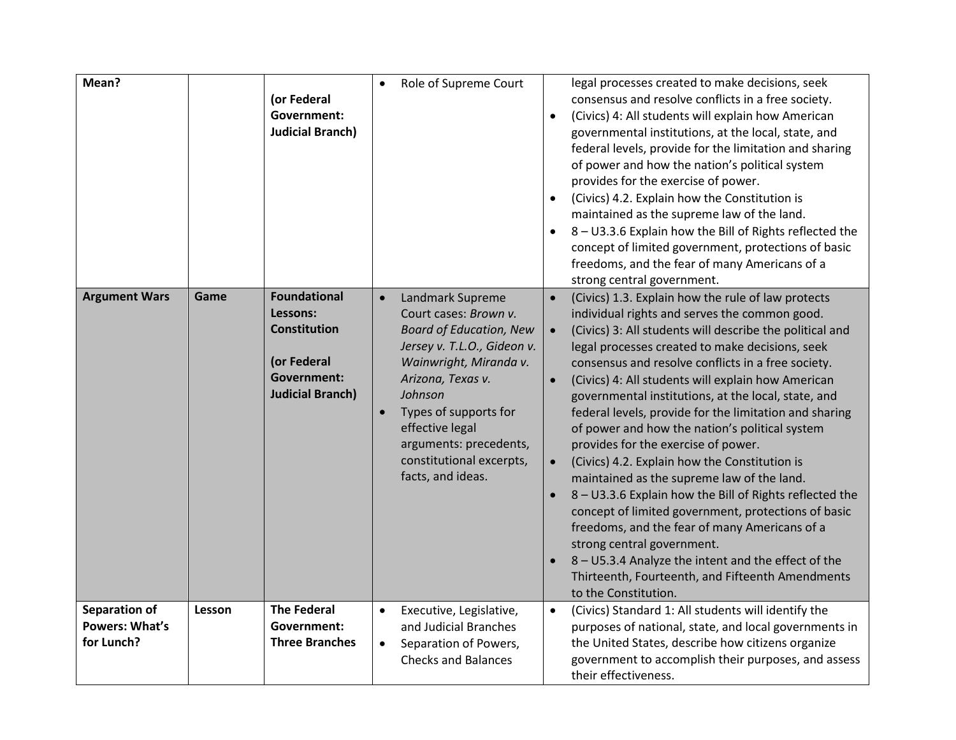| Mean?                                                       |        | (or Federal<br>Government:<br><b>Judicial Branch)</b>                                                                  |                        | Role of Supreme Court                                                                                                                                                                                                                                                                       | $\bullet$              | legal processes created to make decisions, seek<br>consensus and resolve conflicts in a free society.<br>(Civics) 4: All students will explain how American<br>governmental institutions, at the local, state, and<br>federal levels, provide for the limitation and sharing<br>of power and how the nation's political system<br>provides for the exercise of power.<br>(Civics) 4.2. Explain how the Constitution is<br>maintained as the supreme law of the land.<br>8 - U3.3.6 Explain how the Bill of Rights reflected the<br>concept of limited government, protections of basic<br>freedoms, and the fear of many Americans of a<br>strong central government.                                                                                                                                                                                                                                                                                                       |
|-------------------------------------------------------------|--------|------------------------------------------------------------------------------------------------------------------------|------------------------|---------------------------------------------------------------------------------------------------------------------------------------------------------------------------------------------------------------------------------------------------------------------------------------------|------------------------|-----------------------------------------------------------------------------------------------------------------------------------------------------------------------------------------------------------------------------------------------------------------------------------------------------------------------------------------------------------------------------------------------------------------------------------------------------------------------------------------------------------------------------------------------------------------------------------------------------------------------------------------------------------------------------------------------------------------------------------------------------------------------------------------------------------------------------------------------------------------------------------------------------------------------------------------------------------------------------|
| <b>Argument Wars</b>                                        | Game   | <b>Foundational</b><br>Lessons:<br><b>Constitution</b><br>(or Federal<br><b>Government:</b><br><b>Judicial Branch)</b> | $\bullet$<br>$\bullet$ | Landmark Supreme<br>Court cases: Brown v.<br><b>Board of Education, New</b><br>Jersey v. T.L.O., Gideon v.<br>Wainwright, Miranda v.<br>Arizona, Texas v.<br>Johnson<br>Types of supports for<br>effective legal<br>arguments: precedents,<br>constitutional excerpts,<br>facts, and ideas. | $\bullet$<br>$\bullet$ | (Civics) 1.3. Explain how the rule of law protects<br>individual rights and serves the common good.<br>(Civics) 3: All students will describe the political and<br>legal processes created to make decisions, seek<br>consensus and resolve conflicts in a free society.<br>(Civics) 4: All students will explain how American<br>governmental institutions, at the local, state, and<br>federal levels, provide for the limitation and sharing<br>of power and how the nation's political system<br>provides for the exercise of power.<br>(Civics) 4.2. Explain how the Constitution is<br>maintained as the supreme law of the land.<br>8 - U3.3.6 Explain how the Bill of Rights reflected the<br>concept of limited government, protections of basic<br>freedoms, and the fear of many Americans of a<br>strong central government.<br>8 - U5.3.4 Analyze the intent and the effect of the<br>Thirteenth, Fourteenth, and Fifteenth Amendments<br>to the Constitution. |
| <b>Separation of</b><br><b>Powers: What's</b><br>for Lunch? | Lesson | <b>The Federal</b><br>Government:<br><b>Three Branches</b>                                                             | $\bullet$<br>$\bullet$ | Executive, Legislative,<br>and Judicial Branches<br>Separation of Powers,<br><b>Checks and Balances</b>                                                                                                                                                                                     | $\bullet$              | (Civics) Standard 1: All students will identify the<br>purposes of national, state, and local governments in<br>the United States, describe how citizens organize<br>government to accomplish their purposes, and assess<br>their effectiveness.                                                                                                                                                                                                                                                                                                                                                                                                                                                                                                                                                                                                                                                                                                                            |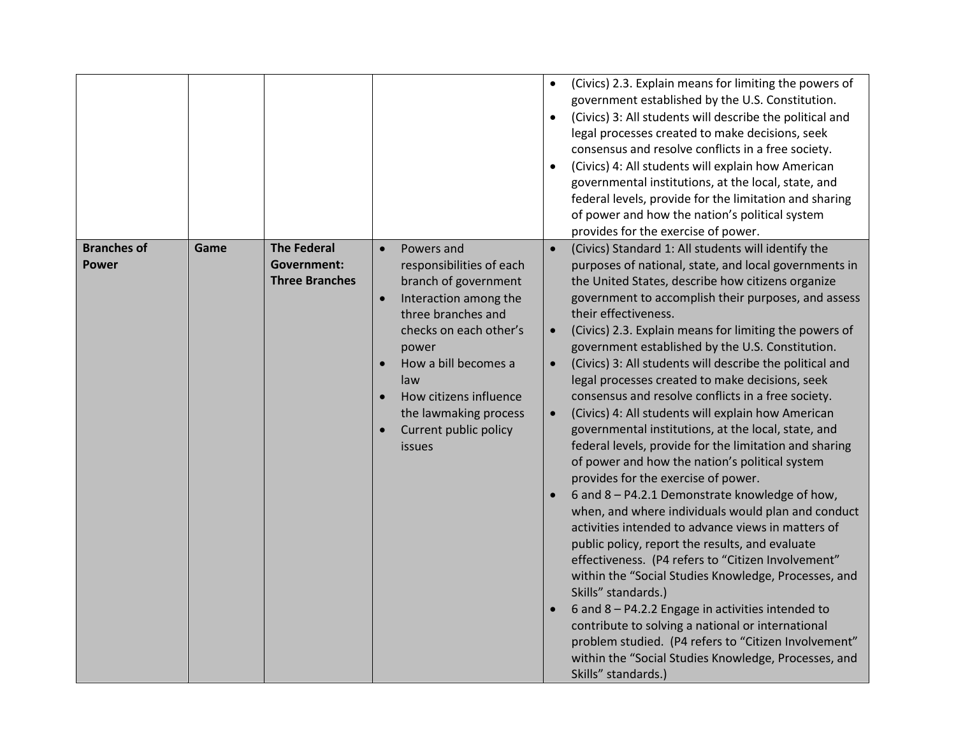|                                    |      |                                                            |                                                                                                                                                                                                                                                                                                                     | $\bullet$                           | (Civics) 2.3. Explain means for limiting the powers of<br>government established by the U.S. Constitution.<br>(Civics) 3: All students will describe the political and<br>legal processes created to make decisions, seek<br>consensus and resolve conflicts in a free society.<br>(Civics) 4: All students will explain how American<br>governmental institutions, at the local, state, and<br>federal levels, provide for the limitation and sharing<br>of power and how the nation's political system<br>provides for the exercise of power.                                                                                                                                                                                                                                                                                                                                                                                                                                                                                                                                                                                                                                                                                                                                                                                                                                                            |
|------------------------------------|------|------------------------------------------------------------|---------------------------------------------------------------------------------------------------------------------------------------------------------------------------------------------------------------------------------------------------------------------------------------------------------------------|-------------------------------------|------------------------------------------------------------------------------------------------------------------------------------------------------------------------------------------------------------------------------------------------------------------------------------------------------------------------------------------------------------------------------------------------------------------------------------------------------------------------------------------------------------------------------------------------------------------------------------------------------------------------------------------------------------------------------------------------------------------------------------------------------------------------------------------------------------------------------------------------------------------------------------------------------------------------------------------------------------------------------------------------------------------------------------------------------------------------------------------------------------------------------------------------------------------------------------------------------------------------------------------------------------------------------------------------------------------------------------------------------------------------------------------------------------|
| <b>Branches of</b><br><b>Power</b> | Game | <b>The Federal</b><br>Government:<br><b>Three Branches</b> | Powers and<br>$\bullet$<br>responsibilities of each<br>branch of government<br>Interaction among the<br>$\bullet$<br>three branches and<br>checks on each other's<br>power<br>How a bill becomes a<br>$\bullet$<br>law<br>How citizens influence<br>the lawmaking process<br>Current public policy<br><i>issues</i> | $\bullet$<br>$\bullet$<br>$\bullet$ | (Civics) Standard 1: All students will identify the<br>purposes of national, state, and local governments in<br>the United States, describe how citizens organize<br>government to accomplish their purposes, and assess<br>their effectiveness.<br>(Civics) 2.3. Explain means for limiting the powers of<br>government established by the U.S. Constitution.<br>(Civics) 3: All students will describe the political and<br>legal processes created to make decisions, seek<br>consensus and resolve conflicts in a free society.<br>(Civics) 4: All students will explain how American<br>governmental institutions, at the local, state, and<br>federal levels, provide for the limitation and sharing<br>of power and how the nation's political system<br>provides for the exercise of power.<br>6 and 8 - P4.2.1 Demonstrate knowledge of how,<br>when, and where individuals would plan and conduct<br>activities intended to advance views in matters of<br>public policy, report the results, and evaluate<br>effectiveness. (P4 refers to "Citizen Involvement"<br>within the "Social Studies Knowledge, Processes, and<br>Skills" standards.)<br>6 and 8 - P4.2.2 Engage in activities intended to<br>contribute to solving a national or international<br>problem studied. (P4 refers to "Citizen Involvement"<br>within the "Social Studies Knowledge, Processes, and<br>Skills" standards.) |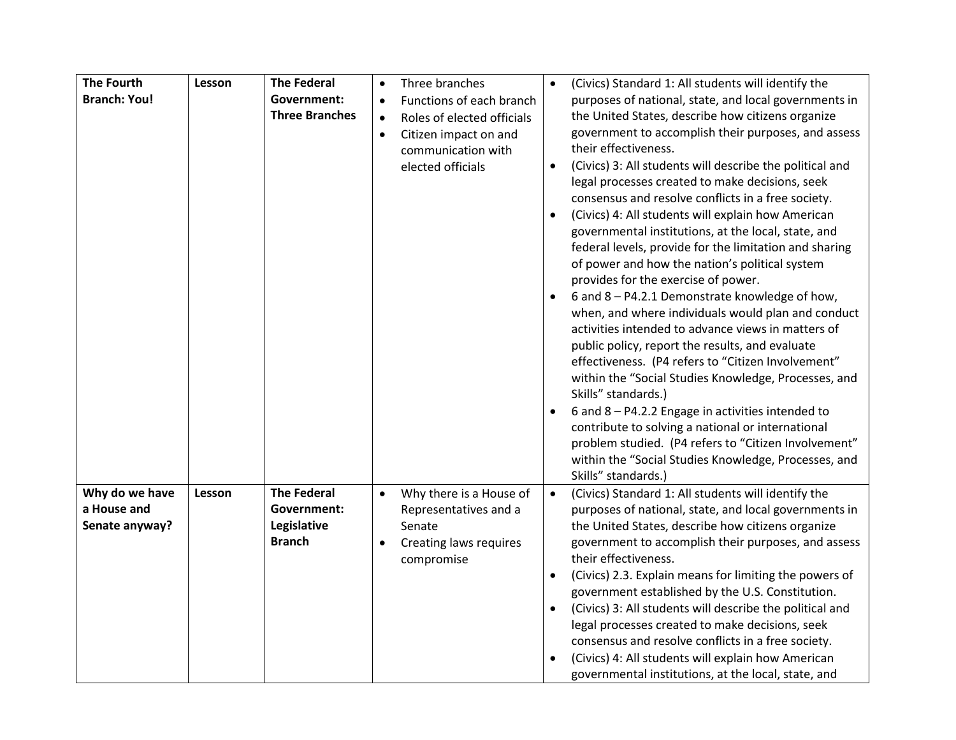| <b>The Fourth</b>   | Lesson | <b>The Federal</b>    | $\bullet$ | Three branches             |           | (Civics) Standard 1: All students will identify the      |
|---------------------|--------|-----------------------|-----------|----------------------------|-----------|----------------------------------------------------------|
| <b>Branch: You!</b> |        | Government:           | $\bullet$ | Functions of each branch   |           | purposes of national, state, and local governments in    |
|                     |        | <b>Three Branches</b> | $\bullet$ | Roles of elected officials |           | the United States, describe how citizens organize        |
|                     |        |                       | $\bullet$ | Citizen impact on and      |           | government to accomplish their purposes, and assess      |
|                     |        |                       |           | communication with         |           | their effectiveness.                                     |
|                     |        |                       |           | elected officials          | $\bullet$ | (Civics) 3: All students will describe the political and |
|                     |        |                       |           |                            |           | legal processes created to make decisions, seek          |
|                     |        |                       |           |                            |           | consensus and resolve conflicts in a free society.       |
|                     |        |                       |           |                            |           | (Civics) 4: All students will explain how American       |
|                     |        |                       |           |                            |           | governmental institutions, at the local, state, and      |
|                     |        |                       |           |                            |           | federal levels, provide for the limitation and sharing   |
|                     |        |                       |           |                            |           | of power and how the nation's political system           |
|                     |        |                       |           |                            |           | provides for the exercise of power.                      |
|                     |        |                       |           |                            |           | 6 and 8 - P4.2.1 Demonstrate knowledge of how,           |
|                     |        |                       |           |                            |           | when, and where individuals would plan and conduct       |
|                     |        |                       |           |                            |           | activities intended to advance views in matters of       |
|                     |        |                       |           |                            |           | public policy, report the results, and evaluate          |
|                     |        |                       |           |                            |           | effectiveness. (P4 refers to "Citizen Involvement"       |
|                     |        |                       |           |                            |           | within the "Social Studies Knowledge, Processes, and     |
|                     |        |                       |           |                            |           | Skills" standards.)                                      |
|                     |        |                       |           |                            |           | 6 and 8 - P4.2.2 Engage in activities intended to        |
|                     |        |                       |           |                            |           | contribute to solving a national or international        |
|                     |        |                       |           |                            |           | problem studied. (P4 refers to "Citizen Involvement"     |
|                     |        |                       |           |                            |           | within the "Social Studies Knowledge, Processes, and     |
|                     |        |                       |           |                            |           | Skills" standards.)                                      |
| Why do we have      | Lesson | <b>The Federal</b>    | $\bullet$ | Why there is a House of    | $\bullet$ | (Civics) Standard 1: All students will identify the      |
| a House and         |        | <b>Government:</b>    |           | Representatives and a      |           | purposes of national, state, and local governments in    |
| Senate anyway?      |        | Legislative           |           | Senate                     |           | the United States, describe how citizens organize        |
|                     |        | <b>Branch</b>         | $\bullet$ | Creating laws requires     |           | government to accomplish their purposes, and assess      |
|                     |        |                       |           | compromise                 |           | their effectiveness.                                     |
|                     |        |                       |           |                            |           | (Civics) 2.3. Explain means for limiting the powers of   |
|                     |        |                       |           |                            |           | government established by the U.S. Constitution.         |
|                     |        |                       |           |                            |           | (Civics) 3: All students will describe the political and |
|                     |        |                       |           |                            |           | legal processes created to make decisions, seek          |
|                     |        |                       |           |                            |           | consensus and resolve conflicts in a free society.       |
|                     |        |                       |           |                            |           | (Civics) 4: All students will explain how American       |
|                     |        |                       |           |                            |           | governmental institutions, at the local, state, and      |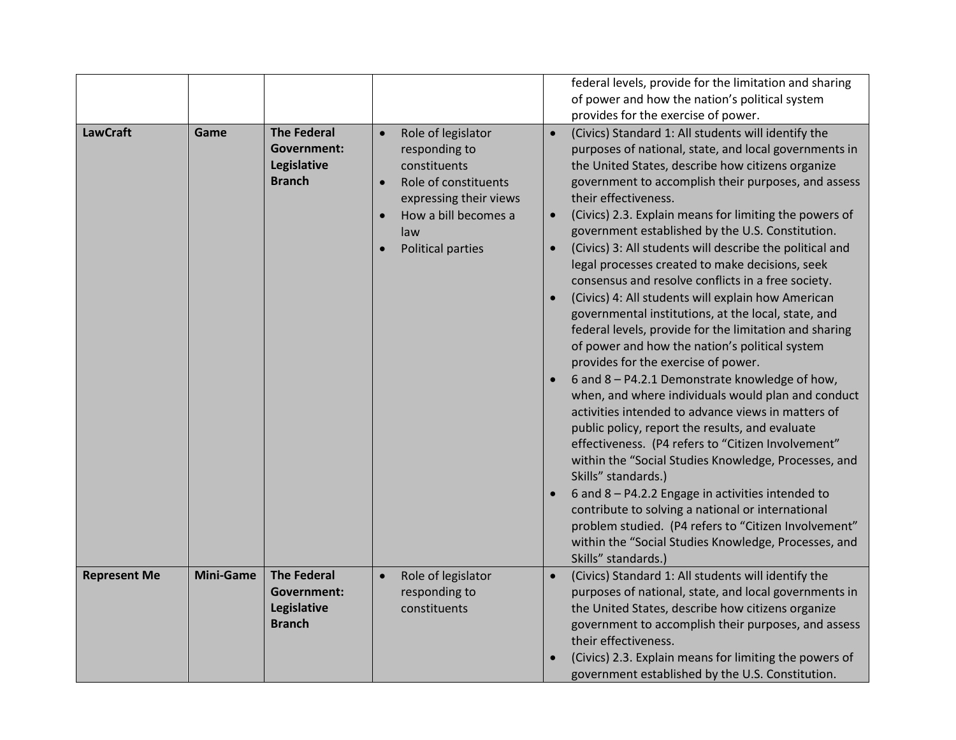|                     |                  |                    |           |                             |           | federal levels, provide for the limitation and sharing                                                     |
|---------------------|------------------|--------------------|-----------|-----------------------------|-----------|------------------------------------------------------------------------------------------------------------|
|                     |                  |                    |           |                             |           | of power and how the nation's political system                                                             |
| <b>LawCraft</b>     | Game             | <b>The Federal</b> | $\bullet$ | Role of legislator          | $\bullet$ | provides for the exercise of power.<br>(Civics) Standard 1: All students will identify the                 |
|                     |                  | Government:        |           | responding to               |           | purposes of national, state, and local governments in                                                      |
|                     |                  | Legislative        |           | constituents                |           | the United States, describe how citizens organize                                                          |
|                     |                  | <b>Branch</b>      |           | Role of constituents        |           | government to accomplish their purposes, and assess                                                        |
|                     |                  |                    |           | expressing their views      |           | their effectiveness.                                                                                       |
|                     |                  |                    |           | How a bill becomes a<br>law | $\bullet$ | (Civics) 2.3. Explain means for limiting the powers of<br>government established by the U.S. Constitution. |
|                     |                  |                    |           | Political parties           | $\bullet$ | (Civics) 3: All students will describe the political and                                                   |
|                     |                  |                    |           |                             |           | legal processes created to make decisions, seek                                                            |
|                     |                  |                    |           |                             |           | consensus and resolve conflicts in a free society.<br>(Civics) 4: All students will explain how American   |
|                     |                  |                    |           |                             |           | governmental institutions, at the local, state, and                                                        |
|                     |                  |                    |           |                             |           | federal levels, provide for the limitation and sharing                                                     |
|                     |                  |                    |           |                             |           | of power and how the nation's political system                                                             |
|                     |                  |                    |           |                             |           | provides for the exercise of power.                                                                        |
|                     |                  |                    |           |                             |           | 6 and 8 - P4.2.1 Demonstrate knowledge of how,<br>when, and where individuals would plan and conduct       |
|                     |                  |                    |           |                             |           | activities intended to advance views in matters of                                                         |
|                     |                  |                    |           |                             |           | public policy, report the results, and evaluate                                                            |
|                     |                  |                    |           |                             |           | effectiveness. (P4 refers to "Citizen Involvement"                                                         |
|                     |                  |                    |           |                             |           | within the "Social Studies Knowledge, Processes, and<br>Skills" standards.)                                |
|                     |                  |                    |           |                             |           | 6 and 8 - P4.2.2 Engage in activities intended to                                                          |
|                     |                  |                    |           |                             |           | contribute to solving a national or international                                                          |
|                     |                  |                    |           |                             |           | problem studied. (P4 refers to "Citizen Involvement"                                                       |
|                     |                  |                    |           |                             |           | within the "Social Studies Knowledge, Processes, and                                                       |
| <b>Represent Me</b> | <b>Mini-Game</b> | <b>The Federal</b> | $\bullet$ | Role of legislator          | $\bullet$ | Skills" standards.)<br>(Civics) Standard 1: All students will identify the                                 |
|                     |                  | Government:        |           | responding to               |           | purposes of national, state, and local governments in                                                      |
|                     |                  | Legislative        |           | constituents                |           | the United States, describe how citizens organize                                                          |
|                     |                  | <b>Branch</b>      |           |                             |           | government to accomplish their purposes, and assess                                                        |
|                     |                  |                    |           |                             |           | their effectiveness.                                                                                       |
|                     |                  |                    |           |                             |           | (Civics) 2.3. Explain means for limiting the powers of                                                     |
|                     |                  |                    |           |                             |           | government established by the U.S. Constitution.                                                           |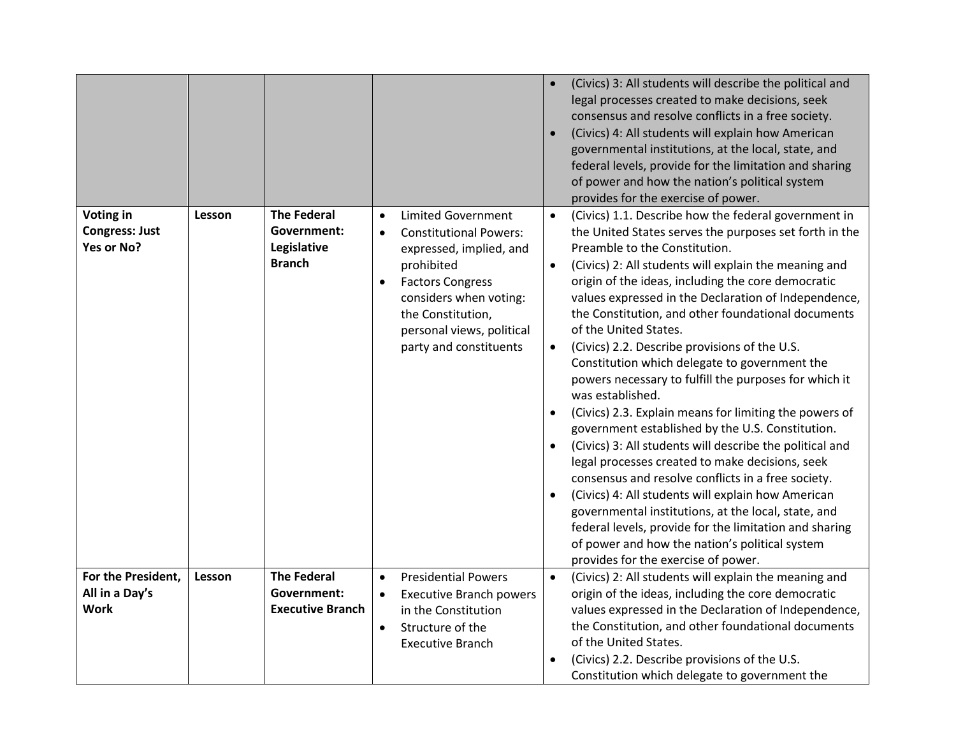|                                                     |        |                                                                   |                                     |                                                                                                                                                                                                                                      |                                     | (Civics) 3: All students will describe the political and<br>legal processes created to make decisions, seek<br>consensus and resolve conflicts in a free society.<br>(Civics) 4: All students will explain how American<br>governmental institutions, at the local, state, and<br>federal levels, provide for the limitation and sharing<br>of power and how the nation's political system<br>provides for the exercise of power.                                                                                                                                                                                                                                                                                                                                                                                                                                                                                                                                                                                                                                                                                                       |
|-----------------------------------------------------|--------|-------------------------------------------------------------------|-------------------------------------|--------------------------------------------------------------------------------------------------------------------------------------------------------------------------------------------------------------------------------------|-------------------------------------|-----------------------------------------------------------------------------------------------------------------------------------------------------------------------------------------------------------------------------------------------------------------------------------------------------------------------------------------------------------------------------------------------------------------------------------------------------------------------------------------------------------------------------------------------------------------------------------------------------------------------------------------------------------------------------------------------------------------------------------------------------------------------------------------------------------------------------------------------------------------------------------------------------------------------------------------------------------------------------------------------------------------------------------------------------------------------------------------------------------------------------------------|
| Voting in<br><b>Congress: Just</b><br>Yes or No?    | Lesson | <b>The Federal</b><br>Government:<br>Legislative<br><b>Branch</b> | $\bullet$<br>$\bullet$<br>$\bullet$ | <b>Limited Government</b><br><b>Constitutional Powers:</b><br>expressed, implied, and<br>prohibited<br><b>Factors Congress</b><br>considers when voting:<br>the Constitution,<br>personal views, political<br>party and constituents | $\bullet$<br>$\bullet$<br>$\bullet$ | (Civics) 1.1. Describe how the federal government in<br>the United States serves the purposes set forth in the<br>Preamble to the Constitution.<br>(Civics) 2: All students will explain the meaning and<br>origin of the ideas, including the core democratic<br>values expressed in the Declaration of Independence,<br>the Constitution, and other foundational documents<br>of the United States.<br>(Civics) 2.2. Describe provisions of the U.S.<br>Constitution which delegate to government the<br>powers necessary to fulfill the purposes for which it<br>was established.<br>(Civics) 2.3. Explain means for limiting the powers of<br>government established by the U.S. Constitution.<br>(Civics) 3: All students will describe the political and<br>legal processes created to make decisions, seek<br>consensus and resolve conflicts in a free society.<br>(Civics) 4: All students will explain how American<br>governmental institutions, at the local, state, and<br>federal levels, provide for the limitation and sharing<br>of power and how the nation's political system<br>provides for the exercise of power. |
| For the President,<br>All in a Day's<br><b>Work</b> | Lesson | <b>The Federal</b><br>Government:<br><b>Executive Branch</b>      | $\bullet$<br>$\bullet$<br>$\bullet$ | <b>Presidential Powers</b><br><b>Executive Branch powers</b><br>in the Constitution<br>Structure of the<br><b>Executive Branch</b>                                                                                                   | $\bullet$                           | (Civics) 2: All students will explain the meaning and<br>origin of the ideas, including the core democratic<br>values expressed in the Declaration of Independence,<br>the Constitution, and other foundational documents<br>of the United States.<br>(Civics) 2.2. Describe provisions of the U.S.<br>Constitution which delegate to government the                                                                                                                                                                                                                                                                                                                                                                                                                                                                                                                                                                                                                                                                                                                                                                                    |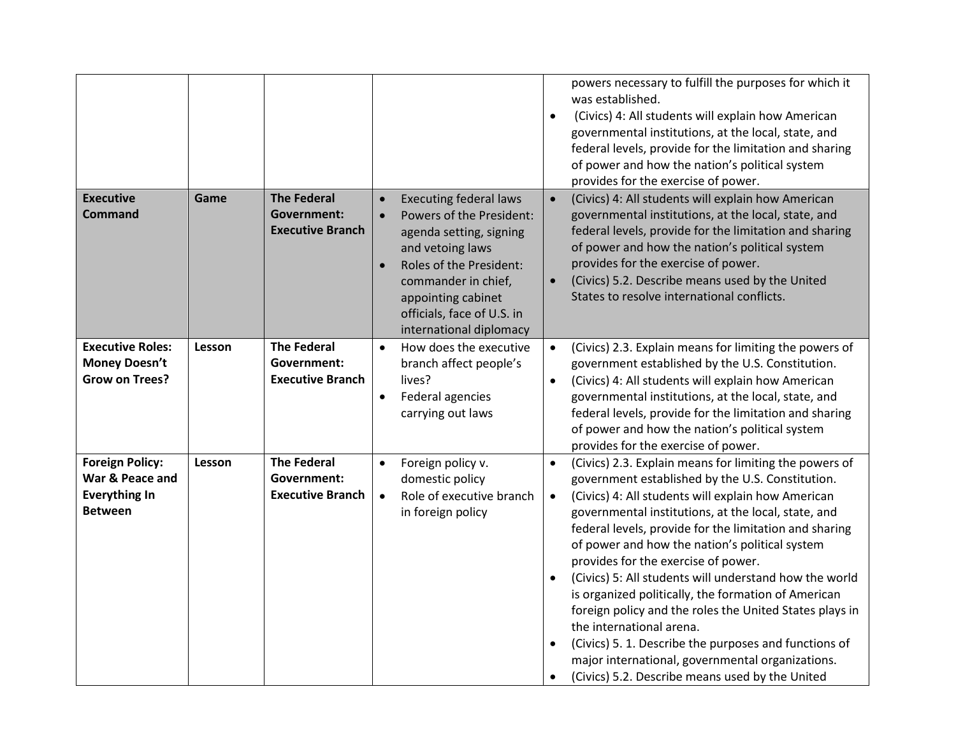|                                                                                     |        |                                                              |                                     |                                                                                                                                                                                                                                           | $\bullet$                           | powers necessary to fulfill the purposes for which it<br>was established.<br>(Civics) 4: All students will explain how American<br>governmental institutions, at the local, state, and<br>federal levels, provide for the limitation and sharing<br>of power and how the nation's political system<br>provides for the exercise of power.                                                                                                                                                                                                                                                                                                                                                                                                          |
|-------------------------------------------------------------------------------------|--------|--------------------------------------------------------------|-------------------------------------|-------------------------------------------------------------------------------------------------------------------------------------------------------------------------------------------------------------------------------------------|-------------------------------------|----------------------------------------------------------------------------------------------------------------------------------------------------------------------------------------------------------------------------------------------------------------------------------------------------------------------------------------------------------------------------------------------------------------------------------------------------------------------------------------------------------------------------------------------------------------------------------------------------------------------------------------------------------------------------------------------------------------------------------------------------|
| <b>Executive</b><br><b>Command</b>                                                  | Game   | <b>The Federal</b><br>Government:<br><b>Executive Branch</b> | $\bullet$<br>$\bullet$<br>$\bullet$ | <b>Executing federal laws</b><br>Powers of the President:<br>agenda setting, signing<br>and vetoing laws<br>Roles of the President:<br>commander in chief,<br>appointing cabinet<br>officials, face of U.S. in<br>international diplomacy | $\bullet$<br>$\bullet$              | (Civics) 4: All students will explain how American<br>governmental institutions, at the local, state, and<br>federal levels, provide for the limitation and sharing<br>of power and how the nation's political system<br>provides for the exercise of power.<br>(Civics) 5.2. Describe means used by the United<br>States to resolve international conflicts.                                                                                                                                                                                                                                                                                                                                                                                      |
| <b>Executive Roles:</b><br><b>Money Doesn't</b><br><b>Grow on Trees?</b>            | Lesson | <b>The Federal</b><br>Government:<br><b>Executive Branch</b> | $\bullet$<br>$\bullet$              | How does the executive<br>branch affect people's<br>lives?<br>Federal agencies<br>carrying out laws                                                                                                                                       | $\bullet$<br>$\bullet$              | (Civics) 2.3. Explain means for limiting the powers of<br>government established by the U.S. Constitution.<br>(Civics) 4: All students will explain how American<br>governmental institutions, at the local, state, and<br>federal levels, provide for the limitation and sharing<br>of power and how the nation's political system<br>provides for the exercise of power.                                                                                                                                                                                                                                                                                                                                                                         |
| <b>Foreign Policy:</b><br>War & Peace and<br><b>Everything In</b><br><b>Between</b> | Lesson | <b>The Federal</b><br>Government:<br><b>Executive Branch</b> | $\bullet$<br>$\bullet$              | Foreign policy v.<br>domestic policy<br>Role of executive branch<br>in foreign policy                                                                                                                                                     | $\bullet$<br>$\bullet$<br>$\bullet$ | (Civics) 2.3. Explain means for limiting the powers of<br>government established by the U.S. Constitution.<br>(Civics) 4: All students will explain how American<br>governmental institutions, at the local, state, and<br>federal levels, provide for the limitation and sharing<br>of power and how the nation's political system<br>provides for the exercise of power.<br>(Civics) 5: All students will understand how the world<br>is organized politically, the formation of American<br>foreign policy and the roles the United States plays in<br>the international arena.<br>(Civics) 5. 1. Describe the purposes and functions of<br>major international, governmental organizations.<br>(Civics) 5.2. Describe means used by the United |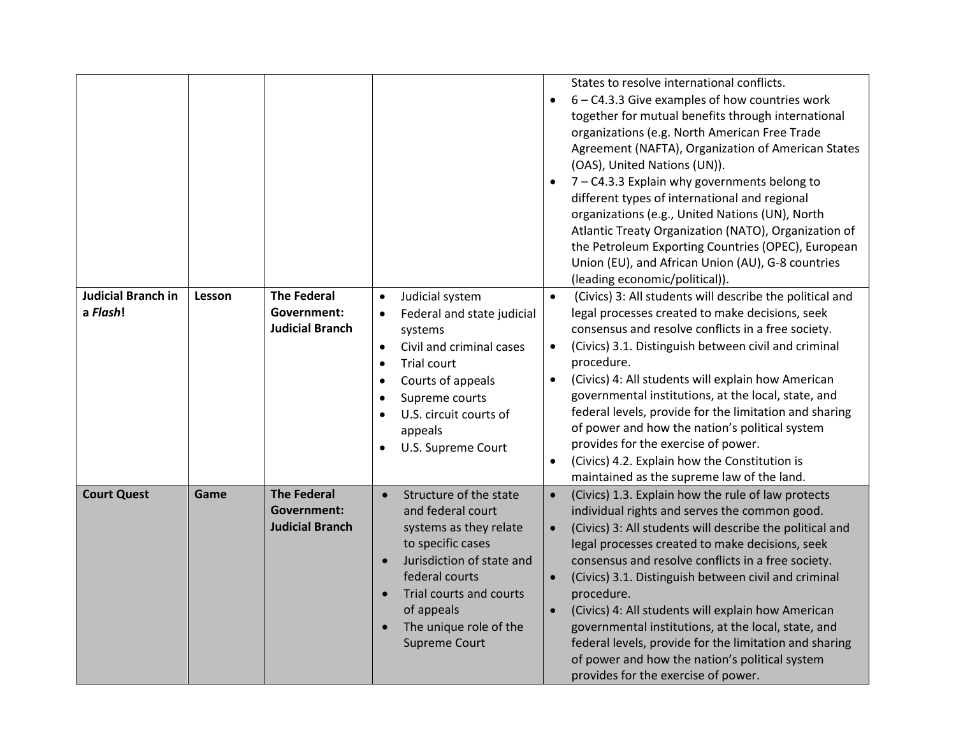|                                       |        |                                                                    |                                                                                                                                                                                                                                                                                                  | $\bullet$<br>$\bullet$                           | States to resolve international conflicts.<br>$6 - C4.3.3$ Give examples of how countries work<br>together for mutual benefits through international<br>organizations (e.g. North American Free Trade<br>Agreement (NAFTA), Organization of American States<br>(OAS), United Nations (UN)).<br>7 - C4.3.3 Explain why governments belong to<br>different types of international and regional<br>organizations (e.g., United Nations (UN), North<br>Atlantic Treaty Organization (NATO), Organization of<br>the Petroleum Exporting Countries (OPEC), European<br>Union (EU), and African Union (AU), G-8 countries<br>(leading economic/political)). |
|---------------------------------------|--------|--------------------------------------------------------------------|--------------------------------------------------------------------------------------------------------------------------------------------------------------------------------------------------------------------------------------------------------------------------------------------------|--------------------------------------------------|------------------------------------------------------------------------------------------------------------------------------------------------------------------------------------------------------------------------------------------------------------------------------------------------------------------------------------------------------------------------------------------------------------------------------------------------------------------------------------------------------------------------------------------------------------------------------------------------------------------------------------------------------|
| <b>Judicial Branch in</b><br>a Flash! | Lesson | <b>The Federal</b><br>Government:<br><b>Judicial Branch</b>        | Judicial system<br>$\bullet$<br>Federal and state judicial<br>$\bullet$<br>systems<br>Civil and criminal cases<br>$\bullet$<br>Trial court<br>$\bullet$<br>Courts of appeals<br>$\bullet$<br>Supreme courts<br>$\bullet$<br>U.S. circuit courts of<br>appeals<br>U.S. Supreme Court<br>$\bullet$ | $\bullet$<br>$\bullet$<br>$\bullet$<br>$\bullet$ | (Civics) 3: All students will describe the political and<br>legal processes created to make decisions, seek<br>consensus and resolve conflicts in a free society.<br>(Civics) 3.1. Distinguish between civil and criminal<br>procedure.<br>(Civics) 4: All students will explain how American<br>governmental institutions, at the local, state, and<br>federal levels, provide for the limitation and sharing<br>of power and how the nation's political system<br>provides for the exercise of power.<br>(Civics) 4.2. Explain how the Constitution is<br>maintained as the supreme law of the land.                                               |
| <b>Court Quest</b>                    | Game   | <b>The Federal</b><br><b>Government:</b><br><b>Judicial Branch</b> | Structure of the state<br>$\bullet$<br>and federal court<br>systems as they relate<br>to specific cases<br>Jurisdiction of state and<br>$\bullet$<br>federal courts<br>Trial courts and courts<br>of appeals<br>The unique role of the<br><b>Supreme Court</b>                                   | $\bullet$<br>$\bullet$<br>$\bullet$<br>$\bullet$ | (Civics) 1.3. Explain how the rule of law protects<br>individual rights and serves the common good.<br>(Civics) 3: All students will describe the political and<br>legal processes created to make decisions, seek<br>consensus and resolve conflicts in a free society.<br>(Civics) 3.1. Distinguish between civil and criminal<br>procedure.<br>(Civics) 4: All students will explain how American<br>governmental institutions, at the local, state, and<br>federal levels, provide for the limitation and sharing<br>of power and how the nation's political system<br>provides for the exercise of power.                                       |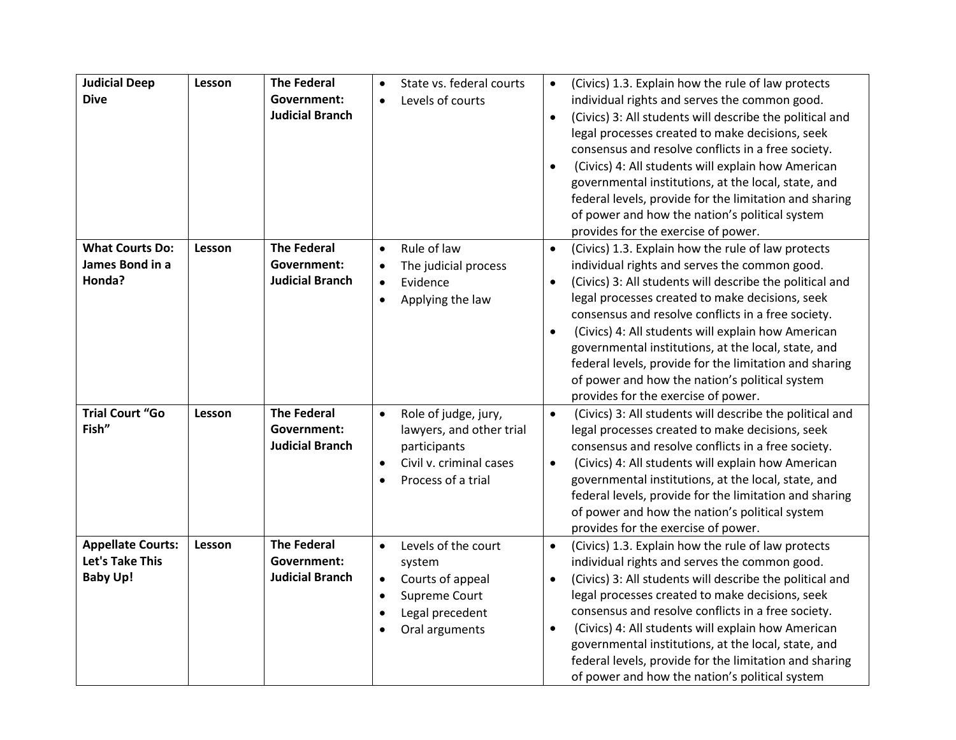| <b>Judicial Deep</b><br><b>Dive</b>                                   | Lesson | <b>The Federal</b><br>Government:<br><b>Judicial Branch</b>        | State vs. federal courts<br>$\bullet$<br>Levels of courts<br>$\bullet$                                                                                      | (Civics) 1.3. Explain how the rule of law protects<br>$\bullet$<br>individual rights and serves the common good.<br>(Civics) 3: All students will describe the political and<br>$\bullet$<br>legal processes created to make decisions, seek<br>consensus and resolve conflicts in a free society.<br>(Civics) 4: All students will explain how American<br>$\bullet$<br>governmental institutions, at the local, state, and<br>federal levels, provide for the limitation and sharing<br>of power and how the nation's political system<br>provides for the exercise of power. |
|-----------------------------------------------------------------------|--------|--------------------------------------------------------------------|-------------------------------------------------------------------------------------------------------------------------------------------------------------|---------------------------------------------------------------------------------------------------------------------------------------------------------------------------------------------------------------------------------------------------------------------------------------------------------------------------------------------------------------------------------------------------------------------------------------------------------------------------------------------------------------------------------------------------------------------------------|
| <b>What Courts Do:</b><br>James Bond in a<br>Honda?                   | Lesson | <b>The Federal</b><br>Government:<br><b>Judicial Branch</b>        | Rule of law<br>$\bullet$<br>The judicial process<br>$\bullet$<br>Evidence<br>$\bullet$<br>Applying the law<br>$\bullet$                                     | (Civics) 1.3. Explain how the rule of law protects<br>$\bullet$<br>individual rights and serves the common good.<br>(Civics) 3: All students will describe the political and<br>$\bullet$<br>legal processes created to make decisions, seek<br>consensus and resolve conflicts in a free society.<br>(Civics) 4: All students will explain how American<br>$\bullet$<br>governmental institutions, at the local, state, and<br>federal levels, provide for the limitation and sharing<br>of power and how the nation's political system<br>provides for the exercise of power. |
| <b>Trial Court "Go</b><br>Fish"                                       | Lesson | <b>The Federal</b><br><b>Government:</b><br><b>Judicial Branch</b> | Role of judge, jury,<br>$\bullet$<br>lawyers, and other trial<br>participants<br>Civil v. criminal cases<br>$\bullet$<br>Process of a trial<br>$\bullet$    | (Civics) 3: All students will describe the political and<br>$\bullet$<br>legal processes created to make decisions, seek<br>consensus and resolve conflicts in a free society.<br>(Civics) 4: All students will explain how American<br>$\bullet$<br>governmental institutions, at the local, state, and<br>federal levels, provide for the limitation and sharing<br>of power and how the nation's political system<br>provides for the exercise of power.                                                                                                                     |
| <b>Appellate Courts:</b><br><b>Let's Take This</b><br><b>Baby Up!</b> | Lesson | <b>The Federal</b><br><b>Government:</b><br><b>Judicial Branch</b> | Levels of the court<br>$\bullet$<br>system<br>Courts of appeal<br>$\bullet$<br>Supreme Court<br>$\bullet$<br>Legal precedent<br>$\bullet$<br>Oral arguments | $\bullet$<br>(Civics) 1.3. Explain how the rule of law protects<br>individual rights and serves the common good.<br>(Civics) 3: All students will describe the political and<br>$\bullet$<br>legal processes created to make decisions, seek<br>consensus and resolve conflicts in a free society.<br>(Civics) 4: All students will explain how American<br>$\bullet$<br>governmental institutions, at the local, state, and<br>federal levels, provide for the limitation and sharing<br>of power and how the nation's political system                                        |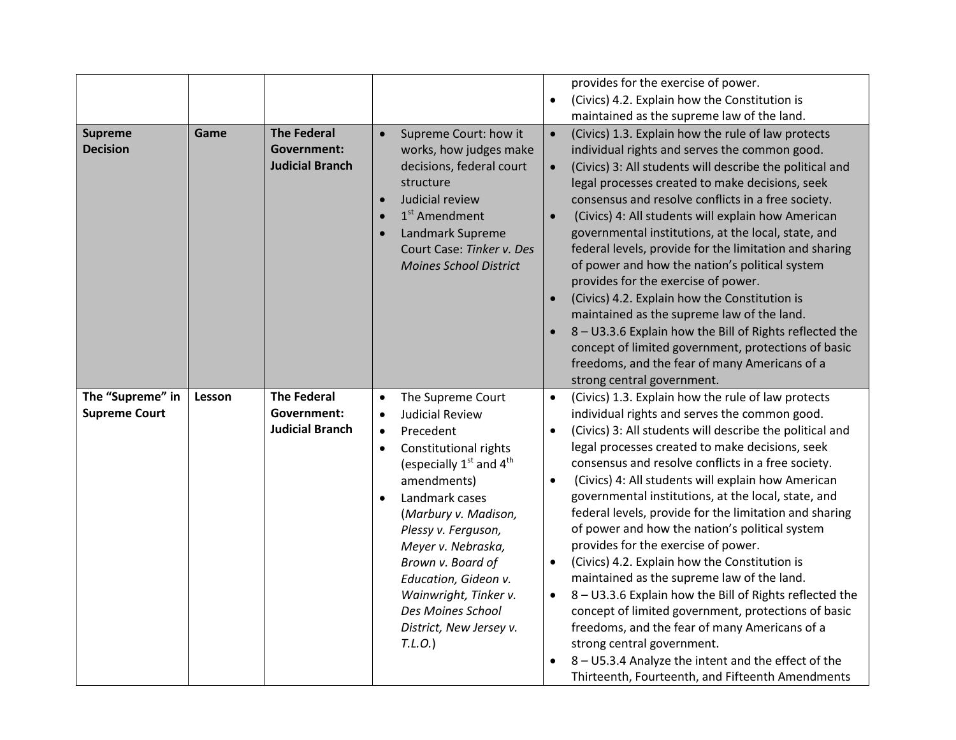|                      |        |                        |           |                               |           | provides for the exercise of power.                                                                     |
|----------------------|--------|------------------------|-----------|-------------------------------|-----------|---------------------------------------------------------------------------------------------------------|
|                      |        |                        |           |                               | $\bullet$ | (Civics) 4.2. Explain how the Constitution is                                                           |
|                      |        |                        |           |                               |           | maintained as the supreme law of the land.                                                              |
| <b>Supreme</b>       | Game   | <b>The Federal</b>     | $\bullet$ | Supreme Court: how it         | $\bullet$ | (Civics) 1.3. Explain how the rule of law protects                                                      |
| <b>Decision</b>      |        | <b>Government:</b>     |           | works, how judges make        |           | individual rights and serves the common good.                                                           |
|                      |        | <b>Judicial Branch</b> |           | decisions, federal court      | $\bullet$ | (Civics) 3: All students will describe the political and                                                |
|                      |        |                        |           | structure                     |           | legal processes created to make decisions, seek                                                         |
|                      |        |                        | $\bullet$ | Judicial review               |           | consensus and resolve conflicts in a free society.                                                      |
|                      |        |                        |           | $1st$ Amendment               | $\bullet$ | (Civics) 4: All students will explain how American                                                      |
|                      |        |                        |           | Landmark Supreme              |           | governmental institutions, at the local, state, and                                                     |
|                      |        |                        |           | Court Case: Tinker v. Des     |           | federal levels, provide for the limitation and sharing                                                  |
|                      |        |                        |           | <b>Moines School District</b> |           | of power and how the nation's political system                                                          |
|                      |        |                        |           |                               |           | provides for the exercise of power.                                                                     |
|                      |        |                        |           |                               | $\bullet$ | (Civics) 4.2. Explain how the Constitution is                                                           |
|                      |        |                        |           |                               |           | maintained as the supreme law of the land.                                                              |
|                      |        |                        |           |                               |           | 8 - U3.3.6 Explain how the Bill of Rights reflected the                                                 |
|                      |        |                        |           |                               |           | concept of limited government, protections of basic                                                     |
|                      |        |                        |           |                               |           | freedoms, and the fear of many Americans of a                                                           |
|                      |        |                        |           |                               |           | strong central government.                                                                              |
| The "Supreme" in     | Lesson | <b>The Federal</b>     | $\bullet$ | The Supreme Court             | $\bullet$ | (Civics) 1.3. Explain how the rule of law protects                                                      |
|                      |        |                        |           |                               |           |                                                                                                         |
| <b>Supreme Court</b> |        | Government:            | $\bullet$ | <b>Judicial Review</b>        |           | individual rights and serves the common good.                                                           |
|                      |        | <b>Judicial Branch</b> | $\bullet$ | Precedent                     | $\bullet$ | (Civics) 3: All students will describe the political and                                                |
|                      |        |                        | $\bullet$ | Constitutional rights         |           | legal processes created to make decisions, seek                                                         |
|                      |        |                        |           | (especially $1st$ and $4th$   |           | consensus and resolve conflicts in a free society.                                                      |
|                      |        |                        |           | amendments)                   | $\bullet$ | (Civics) 4: All students will explain how American                                                      |
|                      |        |                        |           | Landmark cases                |           | governmental institutions, at the local, state, and                                                     |
|                      |        |                        |           | (Marbury v. Madison,          |           | federal levels, provide for the limitation and sharing                                                  |
|                      |        |                        |           | Plessy v. Ferguson,           |           | of power and how the nation's political system                                                          |
|                      |        |                        |           | Meyer v. Nebraska,            |           | provides for the exercise of power.                                                                     |
|                      |        |                        |           | Brown v. Board of             | $\bullet$ | (Civics) 4.2. Explain how the Constitution is                                                           |
|                      |        |                        |           | Education, Gideon v.          |           | maintained as the supreme law of the land.                                                              |
|                      |        |                        |           | Wainwright, Tinker v.         | $\bullet$ | 8 - U3.3.6 Explain how the Bill of Rights reflected the                                                 |
|                      |        |                        |           | Des Moines School             |           | concept of limited government, protections of basic                                                     |
|                      |        |                        |           | District, New Jersey v.       |           | freedoms, and the fear of many Americans of a                                                           |
|                      |        |                        |           | T.L.O.)                       |           | strong central government.                                                                              |
|                      |        |                        |           |                               |           | 8 - U5.3.4 Analyze the intent and the effect of the<br>Thirteenth, Fourteenth, and Fifteenth Amendments |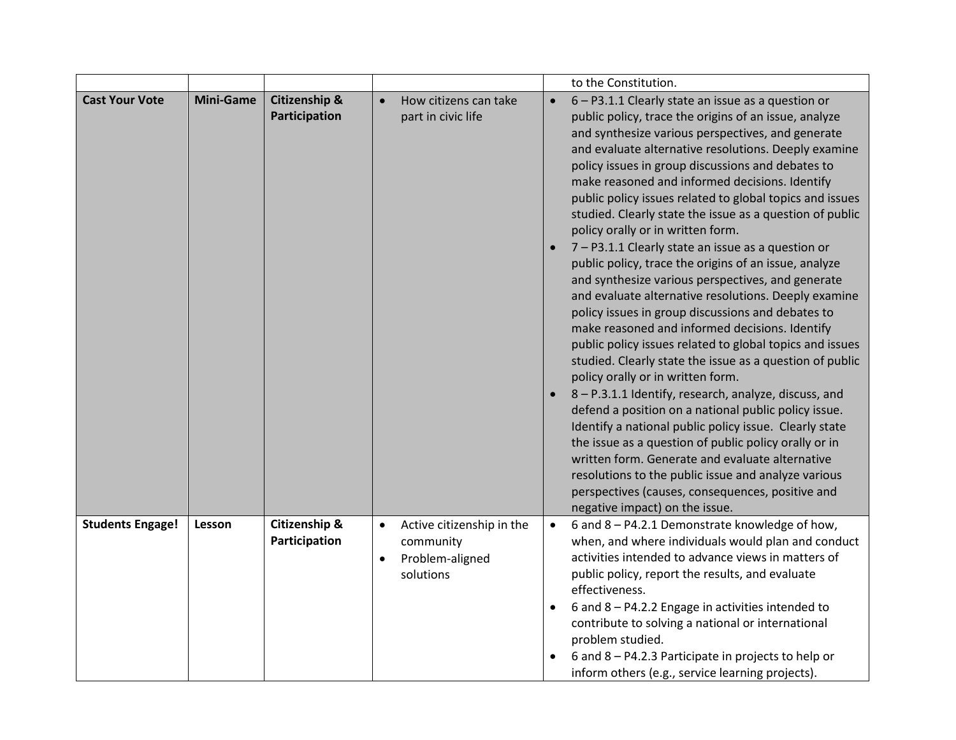|                         |                  |                                           |                                                                                                  | to the Constitution.                                                                                                                                                                                                                                                                                                                                                                                                                                                                                                                                                                                                                                                                                                                                                                                                                                                                                                                                                                                                                                                                                                                                                                                                                                                                                                                                    |
|-------------------------|------------------|-------------------------------------------|--------------------------------------------------------------------------------------------------|---------------------------------------------------------------------------------------------------------------------------------------------------------------------------------------------------------------------------------------------------------------------------------------------------------------------------------------------------------------------------------------------------------------------------------------------------------------------------------------------------------------------------------------------------------------------------------------------------------------------------------------------------------------------------------------------------------------------------------------------------------------------------------------------------------------------------------------------------------------------------------------------------------------------------------------------------------------------------------------------------------------------------------------------------------------------------------------------------------------------------------------------------------------------------------------------------------------------------------------------------------------------------------------------------------------------------------------------------------|
| <b>Cast Your Vote</b>   | <b>Mini-Game</b> | <b>Citizenship &amp;</b><br>Participation | How citizens can take<br>$\bullet$<br>part in civic life                                         | 6 - P3.1.1 Clearly state an issue as a question or<br>$\bullet$<br>public policy, trace the origins of an issue, analyze<br>and synthesize various perspectives, and generate<br>and evaluate alternative resolutions. Deeply examine<br>policy issues in group discussions and debates to<br>make reasoned and informed decisions. Identify<br>public policy issues related to global topics and issues<br>studied. Clearly state the issue as a question of public<br>policy orally or in written form.<br>7 - P3.1.1 Clearly state an issue as a question or<br>public policy, trace the origins of an issue, analyze<br>and synthesize various perspectives, and generate<br>and evaluate alternative resolutions. Deeply examine<br>policy issues in group discussions and debates to<br>make reasoned and informed decisions. Identify<br>public policy issues related to global topics and issues<br>studied. Clearly state the issue as a question of public<br>policy orally or in written form.<br>8 - P.3.1.1 Identify, research, analyze, discuss, and<br>defend a position on a national public policy issue.<br>Identify a national public policy issue. Clearly state<br>the issue as a question of public policy orally or in<br>written form. Generate and evaluate alternative<br>resolutions to the public issue and analyze various |
|                         |                  |                                           |                                                                                                  | perspectives (causes, consequences, positive and<br>negative impact) on the issue.                                                                                                                                                                                                                                                                                                                                                                                                                                                                                                                                                                                                                                                                                                                                                                                                                                                                                                                                                                                                                                                                                                                                                                                                                                                                      |
| <b>Students Engage!</b> | Lesson           | Citizenship &<br>Participation            | Active citizenship in the<br>$\bullet$<br>community<br>Problem-aligned<br>$\bullet$<br>solutions | 6 and 8 - P4.2.1 Demonstrate knowledge of how,<br>$\bullet$<br>when, and where individuals would plan and conduct<br>activities intended to advance views in matters of<br>public policy, report the results, and evaluate<br>effectiveness.<br>6 and 8 - P4.2.2 Engage in activities intended to<br>contribute to solving a national or international<br>problem studied.<br>6 and 8 - P4.2.3 Participate in projects to help or<br>inform others (e.g., service learning projects).                                                                                                                                                                                                                                                                                                                                                                                                                                                                                                                                                                                                                                                                                                                                                                                                                                                                   |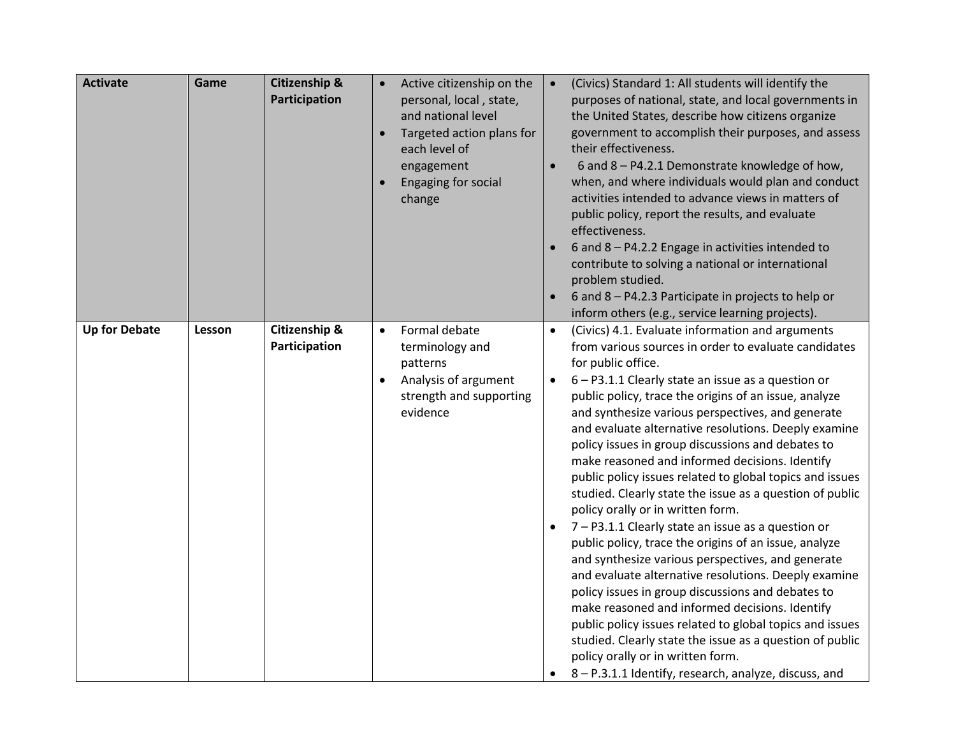| <b>Activate</b>      | Game   | <b>Citizenship &amp;</b><br>Participation |           | Active citizenship on the<br>personal, local, state,<br>and national level<br>Targeted action plans for<br>each level of<br>engagement<br>Engaging for social<br>change | $\bullet$              | (Civics) Standard 1: All students will identify the<br>purposes of national, state, and local governments in<br>the United States, describe how citizens organize<br>government to accomplish their purposes, and assess<br>their effectiveness.<br>6 and 8 - P4.2.1 Demonstrate knowledge of how,<br>when, and where individuals would plan and conduct<br>activities intended to advance views in matters of<br>public policy, report the results, and evaluate<br>effectiveness.<br>6 and 8 - P4.2.2 Engage in activities intended to<br>contribute to solving a national or international<br>problem studied.<br>6 and 8 - P4.2.3 Participate in projects to help or<br>inform others (e.g., service learning projects).                                                                                                                                                                                                                                                                                                                                                                                                                                                            |
|----------------------|--------|-------------------------------------------|-----------|-------------------------------------------------------------------------------------------------------------------------------------------------------------------------|------------------------|-----------------------------------------------------------------------------------------------------------------------------------------------------------------------------------------------------------------------------------------------------------------------------------------------------------------------------------------------------------------------------------------------------------------------------------------------------------------------------------------------------------------------------------------------------------------------------------------------------------------------------------------------------------------------------------------------------------------------------------------------------------------------------------------------------------------------------------------------------------------------------------------------------------------------------------------------------------------------------------------------------------------------------------------------------------------------------------------------------------------------------------------------------------------------------------------|
| <b>Up for Debate</b> | Lesson | Citizenship &<br>Participation            | $\bullet$ | Formal debate<br>terminology and<br>patterns<br>Analysis of argument<br>strength and supporting<br>evidence                                                             | $\bullet$<br>$\bullet$ | (Civics) 4.1. Evaluate information and arguments<br>from various sources in order to evaluate candidates<br>for public office.<br>6 - P3.1.1 Clearly state an issue as a question or<br>public policy, trace the origins of an issue, analyze<br>and synthesize various perspectives, and generate<br>and evaluate alternative resolutions. Deeply examine<br>policy issues in group discussions and debates to<br>make reasoned and informed decisions. Identify<br>public policy issues related to global topics and issues<br>studied. Clearly state the issue as a question of public<br>policy orally or in written form.<br>7 - P3.1.1 Clearly state an issue as a question or<br>public policy, trace the origins of an issue, analyze<br>and synthesize various perspectives, and generate<br>and evaluate alternative resolutions. Deeply examine<br>policy issues in group discussions and debates to<br>make reasoned and informed decisions. Identify<br>public policy issues related to global topics and issues<br>studied. Clearly state the issue as a question of public<br>policy orally or in written form.<br>8 - P.3.1.1 Identify, research, analyze, discuss, and |